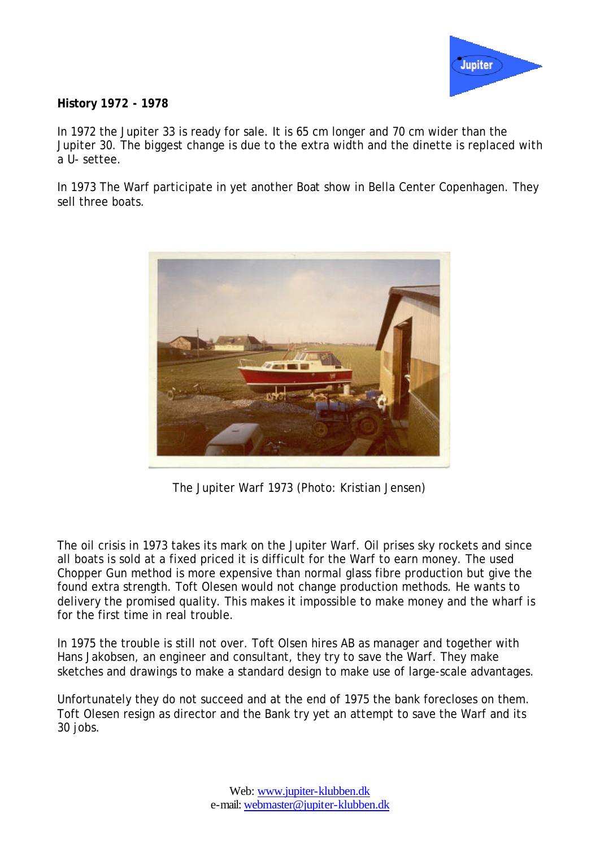

## **History 1972 - 1978**

In 1972 the Jupiter 33 is ready for sale. It is 65 cm longer and 70 cm wider than the Jupiter 30. The biggest change is due to the extra width and the dinette is replaced with a U- settee.

In 1973 The Warf participate in yet another Boat show in Bella Center Copenhagen. They sell three boats.



The Jupiter Warf 1973 (Photo: Kristian Jensen)

The oil crisis in 1973 takes its mark on the Jupiter Warf. Oil prises sky rockets and since all boats is sold at a fixed priced it is difficult for the Warf to earn money. The used Chopper Gun method is more expensive than normal glass fibre production but give the found extra strength. Toft Olesen would not change production methods. He wants to delivery the promised quality. This makes it impossible to make money and the wharf is for the first time in real trouble.

In 1975 the trouble is still not over. Toft Olsen hires AB as manager and together with Hans Jakobsen, an engineer and consultant, they try to save the Warf. They make sketches and drawings to make a standard design to make use of large-scale advantages.

Unfortunately they do not succeed and at the end of 1975 the bank forecloses on them. Toft Olesen resign as director and the Bank try yet an attempt to save the Warf and its 30 jobs.